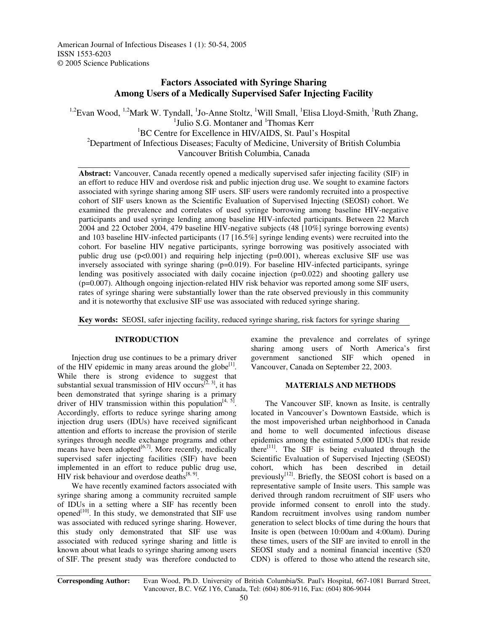American Journal of Infectious Diseases 1 (1): 50-54, 2005 ISSN 1553-6203 © 2005 Science Publications

# **Factors Associated with Syringe Sharing Among Users of a Medically Supervised Safer Injecting Facility**

<sup>1,2</sup>Evan Wood, <sup>1,2</sup>Mark W. Tyndall, <sup>1</sup>Jo-Anne Stoltz, <sup>1</sup>Will Small, <sup>1</sup>Elisa Lloyd-Smith, <sup>1</sup>Ruth Zhang, <sup>1</sup>Julio S.G. Montaner and <sup>1</sup>Thomas Kerr <sup>1</sup>BC Centre for Excellence in HIV/AIDS, St. Paul's Hospital <sup>2</sup>Department of Infectious Diseases; Faculty of Medicine, University of British Columbia Vancouver British Columbia, Canada

**Abstract:** Vancouver, Canada recently opened a medically supervised safer injecting facility (SIF) in an effort to reduce HIV and overdose risk and public injection drug use. We sought to examine factors associated with syringe sharing among SIF users. SIF users were randomly recruited into a prospective cohort of SIF users known as the Scientific Evaluation of Supervised Injecting (SEOSI) cohort. We examined the prevalence and correlates of used syringe borrowing among baseline HIV-negative participants and used syringe lending among baseline HIV-infected participants. Between 22 March 2004 and 22 October 2004, 479 baseline HIV-negative subjects (48 [10%] syringe borrowing events) and 103 baseline HIV-infected participants (17 [16.5%] syringe lending events) were recruited into the cohort. For baseline HIV negative participants, syringe borrowing was positively associated with public drug use  $(p<0.001)$  and requiring help injecting  $(p=0.001)$ , whereas exclusive SIF use was inversely associated with syringe sharing  $(p=0.019)$ . For baseline HIV-infected participants, syringe lending was positively associated with daily cocaine injection (p=0.022) and shooting gallery use (p=0.007). Although ongoing injection-related HIV risk behavior was reported among some SIF users, rates of syringe sharing were substantially lower than the rate observed previously in this community and it is noteworthy that exclusive SIF use was associated with reduced syringe sharing.

**Key words:** SEOSI, safer injecting facility, reduced syringe sharing, risk factors for syringe sharing

# **INTRODUCTION**

Injection drug use continues to be a primary driver of the HIV epidemic in many areas around the globe $[1]$ . While there is strong evidence to suggest that substantial sexual transmission of HIV occurs<sup> $[2, 3]$ </sup>, it has been demonstrated that syringe sharing is a primary driver of HIV transmission within this population<sup>[4, 5]</sup>. Accordingly, efforts to reduce syringe sharing among injection drug users (IDUs) have received significant attention and efforts to increase the provision of sterile syringes through needle exchange programs and other means have been adopted $[6,7]$ . More recently, medically supervised safer injecting facilities (SIF) have been implemented in an effort to reduce public drug use, HIV risk behaviour and overdose deaths $^{[8, 9]}$ .

We have recently examined factors associated with syringe sharing among a community recruited sample of IDUs in a setting where a SIF has recently been opened<sup>[10]</sup>. In this study, we demonstrated that SIF use was associated with reduced syringe sharing. However, this study only demonstrated that SIF use was associated with reduced syringe sharing and little is known about what leads to syringe sharing among users of SIF. The present study was therefore conducted to

examine the prevalence and correlates of syringe sharing among users of North America's first government sanctioned SIF which opened in Vancouver, Canada on September 22, 2003.

## **MATERIALS AND METHODS**

The Vancouver SIF, known as Insite, is centrally located in Vancouver's Downtown Eastside, which is the most impoverished urban neighborhood in Canada and home to well documented infectious disease epidemics among the estimated 5,000 IDUs that reside there<sup>[11]</sup>. The SIF is being evaluated through the Scientific Evaluation of Supervised Injecting (SEOSI) cohort, which has been described in detail previously<sup>[12]</sup>. Briefly, the SEOSI cohort is based on a representative sample of Insite users. This sample was derived through random recruitment of SIF users who provide informed consent to enroll into the study. Random recruitment involves using random number generation to select blocks of time during the hours that Insite is open (between 10:00am and 4:00am). During these times, users of the SIF are invited to enroll in the SEOSI study and a nominal financial incentive (\$20 CDN) is offered to those who attend the research site,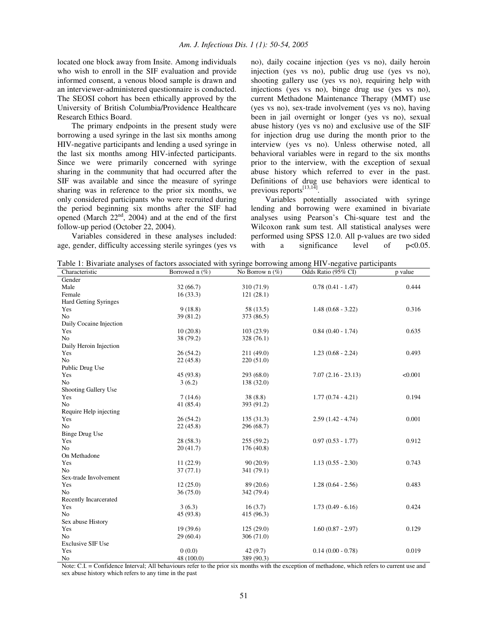located one block away from Insite. Among individuals who wish to enroll in the SIF evaluation and provide informed consent, a venous blood sample is drawn and an interviewer-administered questionnaire is conducted. The SEOSI cohort has been ethically approved by the University of British Columbia/Providence Healthcare Research Ethics Board.

The primary endpoints in the present study were borrowing a used syringe in the last six months among HIV-negative participants and lending a used syringe in the last six months among HIV-infected participants. Since we were primarily concerned with syringe sharing in the community that had occurred after the SIF was available and since the measure of syringe sharing was in reference to the prior six months, we only considered participants who were recruited during the period beginning six months after the SIF had opened (March  $22<sup>nd</sup>$ , 2004) and at the end of the first follow-up period (October 22, 2004).

Variables considered in these analyses included: age, gender, difficulty accessing sterile syringes (yes vs no), daily cocaine injection (yes vs no), daily heroin injection (yes vs no), public drug use (yes vs no), shooting gallery use (yes vs no), requiring help with injections (yes vs no), binge drug use (yes vs no), current Methadone Maintenance Therapy (MMT) use (yes vs no), sex-trade involvement (yes vs no), having been in jail overnight or longer (yes vs no), sexual abuse history (yes vs no) and exclusive use of the SIF for injection drug use during the month prior to the interview (yes vs no). Unless otherwise noted, all behavioral variables were in regard to the six months prior to the interview, with the exception of sexual abuse history which referred to ever in the past. Definitions of drug use behaviors were identical to previous reports<sup>[13,14]</sup>.

Variables potentially associated with syringe lending and borrowing were examined in bivariate analyses using Pearson's Chi-square test and the Wilcoxon rank sum test. All statistical analyses were performed using SPSS 12.0. All p-values are two sided with a significance level of  $p<0.05$ .

Table 1: Bivariate analyses of factors associated with syringe borrowing among HIV-negative participants

| Characteristic               | Borrowed n (%) | No Borrow n (%) | Odds Ratio (95% CI)  | p value |
|------------------------------|----------------|-----------------|----------------------|---------|
| Gender                       |                |                 |                      |         |
| Male                         | 32(66.7)       | 310 (71.9)      | $0.78(0.41 - 1.47)$  | 0.444   |
| Female                       | 16(33.3)       | 121(28.1)       |                      |         |
| <b>Hard Getting Syringes</b> |                |                 |                      |         |
| Yes                          | 9(18.8)        | 58 (13.5)       | $1.48(0.68 - 3.22)$  | 0.316   |
| N <sub>o</sub>               | 39 (81.2)      | 373 (86.5)      |                      |         |
| Daily Cocaine Injection      |                |                 |                      |         |
| Yes                          | 10(20.8)       | 103(23.9)       | $0.84(0.40 - 1.74)$  | 0.635   |
| N <sub>o</sub>               | 38 (79.2)      | 328 (76.1)      |                      |         |
| Daily Heroin Injection       |                |                 |                      |         |
| Yes                          | 26(54.2)       | 211 (49.0)      | $1.23(0.68 - 2.24)$  | 0.493   |
| N <sub>o</sub>               | 22(45.8)       | 220(51.0)       |                      |         |
| Public Drug Use              |                |                 |                      |         |
| Yes                          | 45 (93.8)      | 293 (68.0)      | $7.07(2.16 - 23.13)$ | < 0.001 |
| N <sub>o</sub>               | 3(6.2)         | 138 (32.0)      |                      |         |
| Shooting Gallery Use         |                |                 |                      |         |
| Yes                          | 7(14.6)        | 38(8.8)         | $1.77(0.74 - 4.21)$  | 0.194   |
| N <sub>o</sub>               | 41 (85.4)      | 393 (91.2)      |                      |         |
| Require Help injecting       |                |                 |                      |         |
| Yes                          | 26(54.2)       | 135(31.3)       | $2.59(1.42 - 4.74)$  | 0.001   |
| No                           | 22(45.8)       | 296 (68.7)      |                      |         |
| <b>Binge Drug Use</b>        |                |                 |                      |         |
| Yes                          | 28 (58.3)      | 255(59.2)       | $0.97(0.53 - 1.77)$  | 0.912   |
| N <sub>o</sub>               | 20(41.7)       | 176(40.8)       |                      |         |
| On Methadone                 |                |                 |                      |         |
| Yes                          | 11(22.9)       | 90(20.9)        | $1.13(0.55 - 2.30)$  | 0.743   |
| N <sub>o</sub>               | 37(77.1)       | 341 (79.1)      |                      |         |
| Sex-trade Involvement        |                |                 |                      |         |
| Yes                          | 12(25.0)       | 89 (20.6)       | $1.28(0.64 - 2.56)$  | 0.483   |
| N <sub>o</sub>               | 36 (75.0)      | 342 (79.4)      |                      |         |
| Recently Incarcerated        |                |                 |                      |         |
| Yes                          | 3(6.3)         | 16(3.7)         | $1.73(0.49 - 6.16)$  | 0.424   |
| N <sub>o</sub>               | 45 (93.8)      | 415 (96.3)      |                      |         |
| Sex abuse History            |                |                 |                      |         |
| Yes                          | 19(39.6)       | 125(29.0)       | $1.60(0.87 - 2.97)$  | 0.129   |
| N <sub>o</sub>               | 29 (60.4)      | 306(71.0)       |                      |         |
| <b>Exclusive SIF Use</b>     |                |                 |                      |         |
| Yes                          | 0(0.0)         | 42(9.7)         | $0.14(0.00 - 0.78)$  | 0.019   |
| No                           | 48 (100.0)     | 389 (90.3)      |                      |         |

Note: C.I. = Confidence Interval; All behaviours refer to the prior six months with the exception of methadone, which refers to current use and sex abuse history which refers to any time in the past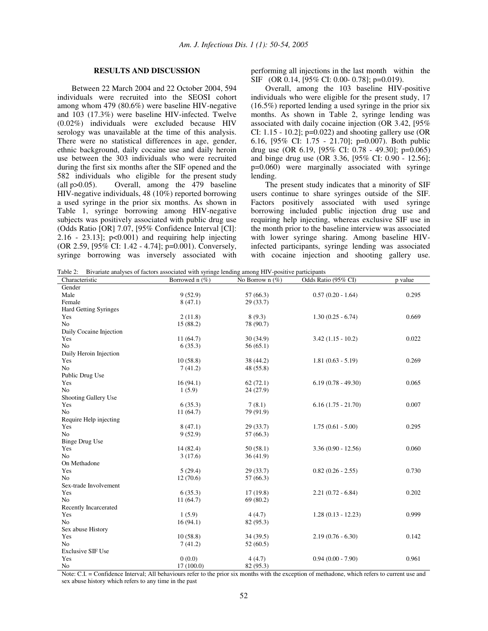# **RESULTS AND DISCUSSION**

Between 22 March 2004 and 22 October 2004, 594 individuals were recruited into the SEOSI cohort among whom 479 (80.6%) were baseline HIV-negative and 103 (17.3%) were baseline HIV-infected. Twelve (0.02%) individuals were excluded because HIV serology was unavailable at the time of this analysis. There were no statistical differences in age, gender, ethnic background, daily cocaine use and daily heroin use between the 303 individuals who were recruited during the first six months after the SIF opened and the 582 individuals who eligible for the present study (all p>0.05). Overall, among the 479 baseline HIV-negative individuals, 48 (10%) reported borrowing a used syringe in the prior six months. As shown in Table 1, syringe borrowing among HIV-negative subjects was positively associated with public drug use (Odds Ratio [OR] 7.07, [95% Confidence Interval [CI]:  $2.16 - 23.13$ ;  $p<0.001$  and requiring help injecting (OR 2.59, [95% CI: 1.42 - 4.74]; p=0.001). Conversely, syringe borrowing was inversely associated with performing all injections in the last month within the SIF (OR 0.14, [95% CI: 0.00- 0.78]; p=0.019).

Overall, among the 103 baseline HIV-positive individuals who were eligible for the present study, 17 (16.5%) reported lending a used syringe in the prior six months. As shown in Table 2, syringe lending was associated with daily cocaine injection (OR 3.42, [95% CI:  $1.15 - 10.2$ ; p=0.022) and shooting gallery use (OR 6.16, [95% CI: 1.75 - 21.70]; p=0.007). Both public drug use (OR 6.19,  $[95\% \text{ CI}$ : 0.78 - 49.30]; p=0.065) and binge drug use (OR 3.36, [95% CI: 0.90 - 12.56]; p=0.060) were marginally associated with syringe lending.

The present study indicates that a minority of SIF users continue to share syringes outside of the SIF. Factors positively associated with used syringe borrowing included public injection drug use and requiring help injecting, whereas exclusive SIF use in the month prior to the baseline interview was associated with lower syringe sharing. Among baseline HIVinfected participants, syringe lending was associated with cocaine injection and shooting gallery use.

Table 2: Bivariate analyses of factors associated with syringe lending among HIV-positive participants

| Characteristic           | Borrowed n (%) | No Borrow n $(\%)$ | Odds Ratio (95% CI)  | p value |
|--------------------------|----------------|--------------------|----------------------|---------|
| Gender                   |                |                    |                      |         |
| Male                     | 9(52.9)        | 57(66.3)           | $0.57(0.20 - 1.64)$  | 0.295   |
| Female                   | 8(47.1)        | 29(33.7)           |                      |         |
| Hard Getting Syringes    |                |                    |                      |         |
| Yes                      | 2(11.8)        | 8(9.3)             | $1.30(0.25 - 6.74)$  | 0.669   |
| N <sub>o</sub>           | 15 (88.2)      | 78 (90.7)          |                      |         |
| Daily Cocaine Injection  |                |                    |                      |         |
| Yes                      | 11(64.7)       | 30(34.9)           | $3.42(1.15 - 10.2)$  | 0.022   |
| N <sub>o</sub>           | 6(35.3)        | 56(65.1)           |                      |         |
| Daily Heroin Injection   |                |                    |                      |         |
| Yes                      | 10(58.8)       | 38 (44.2)          | $1.81(0.63 - 5.19)$  | 0.269   |
| N <sub>o</sub>           | 7(41.2)        | 48 (55.8)          |                      |         |
| Public Drug Use          |                |                    |                      |         |
| Yes                      | 16(94.1)       | 62(72.1)           | $6.19(0.78 - 49.30)$ | 0.065   |
| N <sub>o</sub>           | 1(5.9)         | 24(27.9)           |                      |         |
| Shooting Gallery Use     |                |                    |                      |         |
| Yes                      | 6(35.3)        | 7(8.1)             | $6.16(1.75 - 21.70)$ | 0.007   |
| N <sub>o</sub>           | 11(64.7)       | 79 (91.9)          |                      |         |
| Require Help injecting   |                |                    |                      |         |
| Yes                      | 8(47.1)        | 29(33.7)           | $1.75(0.61 - 5.00)$  | 0.295   |
| N <sub>o</sub>           | 9(52.9)        | 57 (66.3)          |                      |         |
| <b>Binge Drug Use</b>    |                |                    |                      |         |
| Yes                      | 14 (82.4)      | 50(58.1)           | $3.36(0.90 - 12.56)$ | 0.060   |
| N <sub>o</sub>           | 3(17.6)        | 36(41.9)           |                      |         |
| On Methadone             |                |                    |                      |         |
| Yes                      | 5(29.4)        | 29 (33.7)          | $0.82(0.26 - 2.55)$  | 0.730   |
| N <sub>o</sub>           | 12(70.6)       | 57 (66.3)          |                      |         |
| Sex-trade Involvement    |                |                    |                      |         |
| Yes                      | 6(35.3)        | 17(19.8)           | $2.21(0.72 - 6.84)$  | 0.202   |
| N <sub>o</sub>           | 11(64.7)       | 69(80.2)           |                      |         |
| Recently Incarcerated    |                |                    |                      |         |
| Yes                      | 1(5.9)         | 4(4.7)             | $1.28(0.13 - 12.23)$ | 0.999   |
| N <sub>o</sub>           | 16(94.1)       | 82 (95.3)          |                      |         |
| Sex abuse History        |                |                    |                      |         |
| Yes                      | 10(58.8)       | 34(39.5)           | $2.19(0.76 - 6.30)$  | 0.142   |
| N <sub>o</sub>           | 7(41.2)        | 52(60.5)           |                      |         |
| <b>Exclusive SIF Use</b> |                |                    |                      |         |
| Yes                      | 0(0.0)         | 4(4.7)             | $0.94(0.00 - 7.90)$  | 0.961   |
| N <sub>o</sub>           | 17(100.0)      | 82 (95.3)          |                      |         |

Note: C.I. = Confidence Interval; All behaviours refer to the prior six months with the exception of methadone, which refers to current use and sex abuse history which refers to any time in the past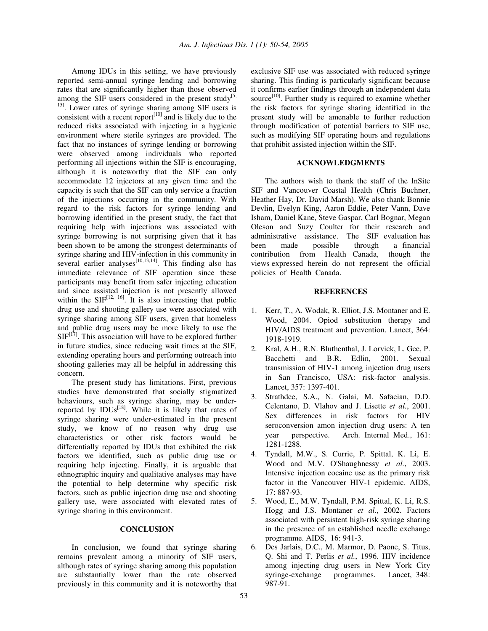Among IDUs in this setting, we have previously reported semi-annual syringe lending and borrowing rates that are significantly higher than those observed among the SIF users considered in the present study<sup>[5,1]</sup> <sup>15]</sup>. Lower rates of syringe sharing among SIF users is consistent with a recent report $[10]$  and is likely due to the reduced risks associated with injecting in a hygienic environment where sterile syringes are provided. The fact that no instances of syringe lending or borrowing were observed among individuals who reported performing all injections within the SIF is encouraging, although it is noteworthy that the SIF can only accommodate 12 injectors at any given time and the capacity is such that the SIF can only service a fraction of the injections occurring in the community. With regard to the risk factors for syringe lending and borrowing identified in the present study, the fact that requiring help with injections was associated with syringe borrowing is not surprising given that it has been shown to be among the strongest determinants of syringe sharing and HIV-infection in this community in several earlier analyses $^{[10,13,14]}$ . This finding also has immediate relevance of SIF operation since these participants may benefit from safer injecting education and since assisted injection is not presently allowed within the  $SIF^{[12, 16]}$ . It is also interesting that public drug use and shooting gallery use were associated with syringe sharing among SIF users, given that homeless and public drug users may be more likely to use the  $SIF^{[17]}$ . This association will have to be explored further in future studies, since reducing wait times at the SIF, extending operating hours and performing outreach into shooting galleries may all be helpful in addressing this concern.

The present study has limitations. First, previous studies have demonstrated that socially stigmatized behaviours, such as syringe sharing, may be underreported by IDUs<sup>[18]</sup>. While it is likely that rates of syringe sharing were under-estimated in the present study, we know of no reason why drug use characteristics or other risk factors would be differentially reported by IDUs that exhibited the risk factors we identified, such as public drug use or requiring help injecting. Finally, it is arguable that ethnographic inquiry and qualitative analyses may have the potential to help determine why specific risk factors, such as public injection drug use and shooting gallery use, were associated with elevated rates of syringe sharing in this environment.

#### **CONCLUSION**

In conclusion, we found that syringe sharing remains prevalent among a minority of SIF users, although rates of syringe sharing among this population are substantially lower than the rate observed previously in this community and it is noteworthy that exclusive SIF use was associated with reduced syringe sharing. This finding is particularly significant because it confirms earlier findings through an independent data source<sup>[10]</sup>. Further study is required to examine whether the risk factors for syringe sharing identified in the present study will be amenable to further reduction through modification of potential barriers to SIF use, such as modifying SIF operating hours and regulations that prohibit assisted injection within the SIF.

## **ACKNOWLEDGMENTS**

The authors wish to thank the staff of the InSite SIF and Vancouver Coastal Health (Chris Buchner, Heather Hay, Dr. David Marsh). We also thank Bonnie Devlin, Evelyn King, Aaron Eddie, Peter Vann, Dave Isham, Daniel Kane, Steve Gaspar, Carl Bognar, Megan Oleson and Suzy Coulter for their research and administrative assistance. The SIF evaluation has been made possible through a financial contribution from Health Canada, though the views expressed herein do not represent the official policies of Health Canada.

#### **REFERENCES**

- 1. Kerr, T., A. Wodak, R. Elliot, J.S. Montaner and E. Wood, 2004. Opiod substitution therapy and HIV/AIDS treatment and prevention. Lancet, 364: 1918-1919.
- 2. Kral, A.H., R.N. Bluthenthal, J. Lorvick, L. Gee, P. Bacchetti and B.R. Edlin, 2001. Sexual transmission of HIV-1 among injection drug users in San Francisco, USA: risk-factor analysis. Lancet, 357: 1397-401.
- 3. Strathdee, S.A., N. Galai, M. Safaeian, D.D. Celentano, D. Vlahov and J. Lisette *et al.*, 2001. Sex differences in risk factors for HIV seroconversion amon injection drug users: A ten year perspective. Arch. Internal Med., 161: 1281-1288.
- 4. Tyndall, M.W., S. Currie, P. Spittal, K. Li, E. Wood and M.V. O'Shaughnessy *et al.*, 2003. Intensive injection cocaine use as the primary risk factor in the Vancouver HIV-1 epidemic. AIDS, 17: 887-93.
- 5. Wood, E., M.W. Tyndall, P.M. Spittal, K. Li, R.S. Hogg and J.S. Montaner *et al.*, 2002. Factors associated with persistent high-risk syringe sharing in the presence of an established needle exchange programme. AIDS, 16: 941-3.
- 6. Des Jarlais, D.C., M. Marmor, D. Paone, S. Titus, Q. Shi and T. Perlis *et al.*, 1996. HIV incidence among injecting drug users in New York City syringe-exchange programmes. Lancet, 348: 987-91.